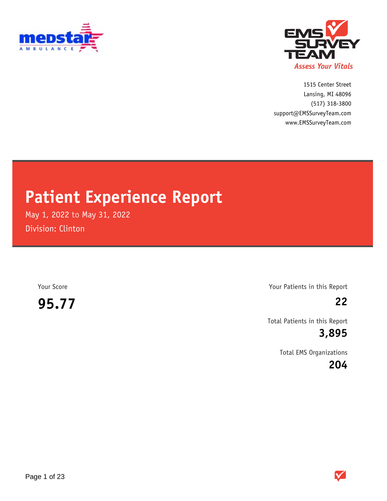



1515 Center Street (517) 318-3800 www.EMSSurveyTeam.com support@EMSSurveyTeam.com Lansing, MI 48096

## **Patient Experience Report**

May 1, 2022 to May 31, 2022 Division: Clinton

**95.77 22**

Your Score Your Patients in this Report

Total Patients in this Report

**3,895**

Total EMS Organizations

**204**

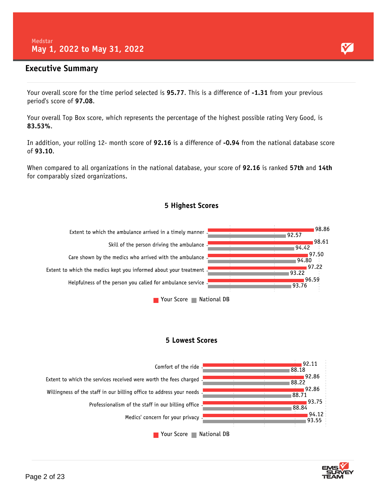### **Executive Summary**

Your overall score for the time period selected is **95.77**. This is a difference of **-1.31** from your previous period's score of **97.08**.

Your overall Top Box score, which represents the percentage of the highest possible rating Very Good, is **83.53%**.

In addition, your rolling 12- month score of **92.16** is a difference of **-0.94** from the national database score of **93.10**.

When compared to all organizations in the national database, your score of **92.16** is ranked **57th** and **14th** for comparably sized organizations.

### 5 Highest Scores



### **5 Lowest Scores**



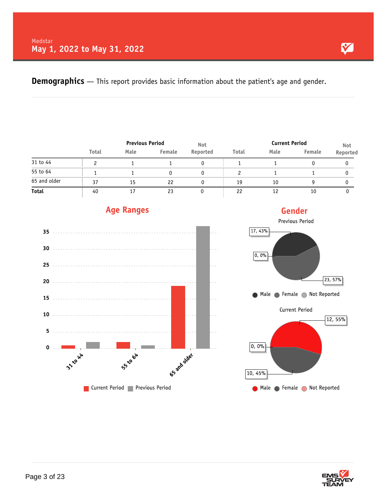**Demographics** — This report provides basic information about the patient's age and gender.

|              |              |      | <b>Previous Period</b> |          |       | <b>Current Period</b> | Not    |          |
|--------------|--------------|------|------------------------|----------|-------|-----------------------|--------|----------|
|              | <b>Total</b> | Male | Female                 | Reported | Total | Male                  | Female | Reported |
| 31 to 44     |              |      |                        |          |       |                       |        |          |
| 55 to 64     |              |      | 0                      |          |       |                       |        |          |
| 65 and older | 37           | 15   | 22                     |          | 19    | 10                    | Q      |          |
| Total        | 40           |      | 23                     |          | 22    | 12                    | 10     |          |



### **Age Ranges**





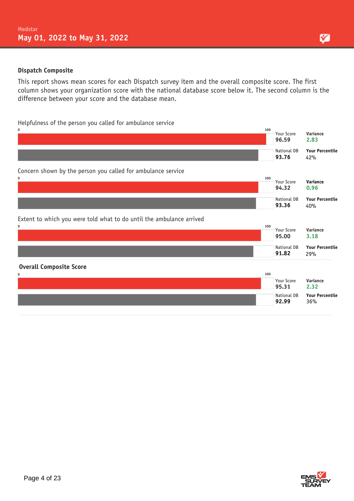### **Dispatch Composite**

This report shows mean scores for each Dispatch survey item and the overall composite score. The first column shows your organization score with the national database score below it. The second column is the difference between your score and the database mean.

Helpfulness of the person you called for ambulance service



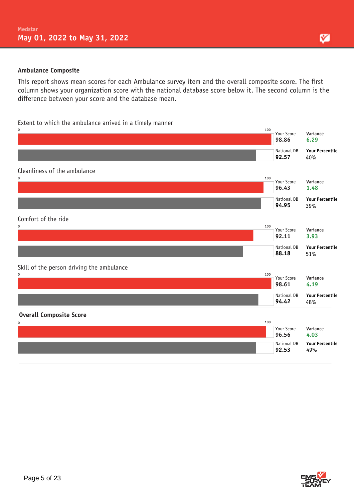### **Ambulance Composite**

This report shows mean scores for each Ambulance survey item and the overall composite score. The first column shows your organization score with the national database score below it. The second column is the difference between your score and the database mean.

### Extent to which the ambulance arrived in a timely manner



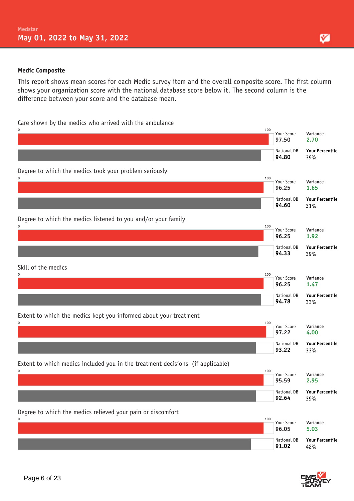### **Medic Composite**

This report shows mean scores for each Medic survey item and the overall composite score. The first column shows your organization score with the national database score below it. The second column is the difference between your score and the database mean.

Care shown by the medics who arrived with the ambulance





М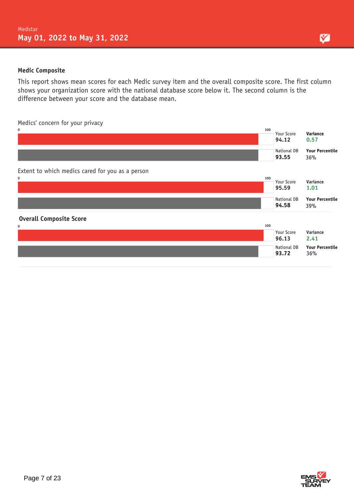### **Medic Composite**

This report shows mean scores for each Medic survey item and the overall composite score. The first column shows your organization score with the national database score below it. The second column is the difference between your score and the database mean.

Medics' concern for your privacy



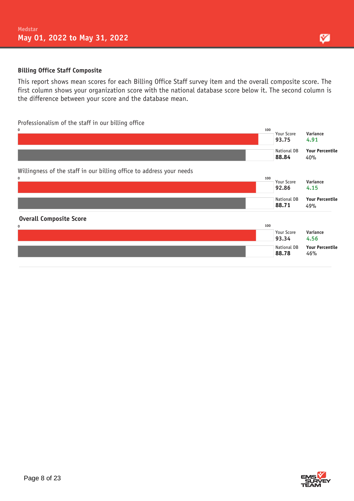### **Billing Office Staff Composite**

This report shows mean scores for each Billing Office Staff survey item and the overall composite score. The first column shows your organization score with the national database score below it. The second column is the difference between your score and the database mean.

### Professionalism of the staff in our billing office





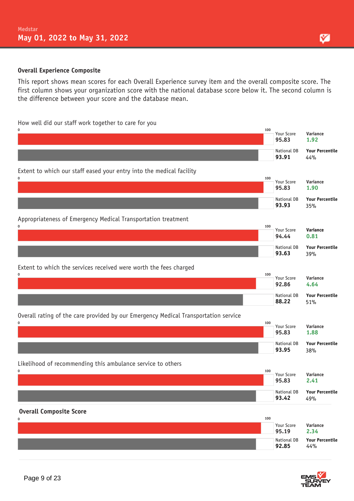### **Overall Experience Composite**

This report shows mean scores for each Overall Experience survey item and the overall composite score. The first column shows your organization score with the national database score below it. The second column is the difference between your score and the database mean.

### How well did our staff work together to care for you

| 0<br>100                                                                            | Your Score<br>95.83  | Variance<br>1.92              |
|-------------------------------------------------------------------------------------|----------------------|-------------------------------|
|                                                                                     | National DB<br>93.91 | <b>Your Percentile</b><br>44% |
| Extent to which our staff eased your entry into the medical facility                |                      |                               |
| 0<br>100                                                                            | Your Score<br>95.83  | Variance<br>1.90              |
|                                                                                     | National DB<br>93.93 | <b>Your Percentile</b><br>35% |
| Appropriateness of Emergency Medical Transportation treatment                       |                      |                               |
| 0<br>100                                                                            | Your Score<br>94.44  | Variance<br>0.81              |
|                                                                                     | National DB<br>93.63 | <b>Your Percentile</b><br>39% |
| Extent to which the services received were worth the fees charged                   |                      |                               |
| 0<br>100                                                                            | Your Score<br>92.86  | Variance<br>4.64              |
|                                                                                     | National DB<br>88.22 | <b>Your Percentile</b><br>51% |
| Overall rating of the care provided by our Emergency Medical Transportation service |                      |                               |
| 0<br>100                                                                            | Your Score<br>95.83  | Variance<br>1.88              |
|                                                                                     | National DB<br>93.95 | <b>Your Percentile</b><br>38% |
| Likelihood of recommending this ambulance service to others                         |                      |                               |
| 0<br>100                                                                            | Your Score<br>95.83  | Variance<br>2.41              |
|                                                                                     | National DB<br>93.42 | <b>Your Percentile</b><br>49% |
| <b>Overall Composite Score</b>                                                      |                      |                               |
| 100<br>0                                                                            | Your Score<br>95.19  | Variance<br>2.34              |
|                                                                                     | National DB<br>92.85 | <b>Your Percentile</b><br>44% |

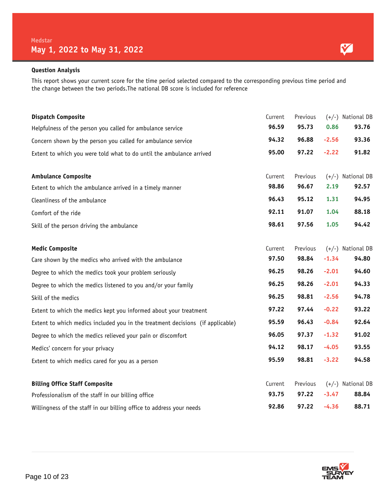### **Question Analysis**

This report shows your current score for the time period selected compared to the corresponding previous time period and the change between the two periods.The national DB score is included for reference

| <b>Dispatch Composite</b>                                                      | Current | Previous |         | $(+/-)$ National DB |
|--------------------------------------------------------------------------------|---------|----------|---------|---------------------|
| Helpfulness of the person you called for ambulance service                     | 96.59   | 95.73    | 0.86    | 93.76               |
| Concern shown by the person you called for ambulance service                   | 94.32   | 96.88    | $-2.56$ | 93.36               |
| Extent to which you were told what to do until the ambulance arrived           | 95.00   | 97.22    | $-2.22$ | 91.82               |
| <b>Ambulance Composite</b>                                                     | Current | Previous |         | $(+/-)$ National DB |
| Extent to which the ambulance arrived in a timely manner                       | 98.86   | 96.67    | 2.19    | 92.57               |
| Cleanliness of the ambulance                                                   | 96.43   | 95.12    | 1.31    | 94.95               |
| Comfort of the ride                                                            | 92.11   | 91.07    | 1.04    | 88.18               |
| Skill of the person driving the ambulance                                      | 98.61   | 97.56    | 1.05    | 94.42               |
| <b>Medic Composite</b>                                                         | Current | Previous |         | (+/-) National DB   |
| Care shown by the medics who arrived with the ambulance                        | 97.50   | 98.84    | $-1.34$ | 94.80               |
| Degree to which the medics took your problem seriously                         | 96.25   | 98.26    | $-2.01$ | 94.60               |
| Degree to which the medics listened to you and/or your family                  | 96.25   | 98.26    | $-2.01$ | 94.33               |
| Skill of the medics                                                            | 96.25   | 98.81    | $-2.56$ | 94.78               |
| Extent to which the medics kept you informed about your treatment              | 97.22   | 97.44    | $-0.22$ | 93.22               |
| Extent to which medics included you in the treatment decisions (if applicable) | 95.59   | 96.43    | $-0.84$ | 92.64               |
| Degree to which the medics relieved your pain or discomfort                    | 96.05   | 97.37    | $-1.32$ | 91.02               |
| Medics' concern for your privacy                                               | 94.12   | 98.17    | $-4.05$ | 93.55               |
| Extent to which medics cared for you as a person                               | 95.59   | 98.81    | $-3.22$ | 94.58               |
| <b>Billing Office Staff Composite</b>                                          | Current | Previous |         | $(+/-)$ National DB |
| Professionalism of the staff in our billing office                             | 93.75   | 97.22    | $-3.47$ | 88.84               |
| Willingness of the staff in our billing office to address your needs           | 92.86   | 97.22    | $-4.36$ | 88.71               |

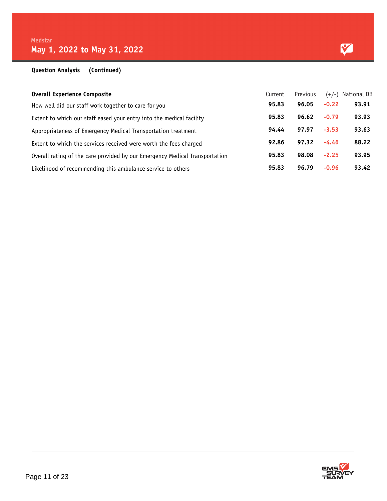| <b>Overall Experience Composite</b>                                         | Current | Previous |         | (+/-) National DB |
|-----------------------------------------------------------------------------|---------|----------|---------|-------------------|
| How well did our staff work together to care for you                        | 95.83   | 96.05    | $-0.22$ | 93.91             |
| Extent to which our staff eased your entry into the medical facility        | 95.83   | 96.62    | $-0.79$ | 93.93             |
| Appropriateness of Emergency Medical Transportation treatment               | 94.44   | 97.97    | $-3.53$ | 93.63             |
| Extent to which the services received were worth the fees charged           | 92.86   | 97.32    | $-4.46$ | 88.22             |
| Overall rating of the care provided by our Emergency Medical Transportation | 95.83   | 98.08    | $-2.25$ | 93.95             |
| Likelihood of recommending this ambulance service to others                 | 95.83   | 96.79    | $-0.96$ | 93.42             |

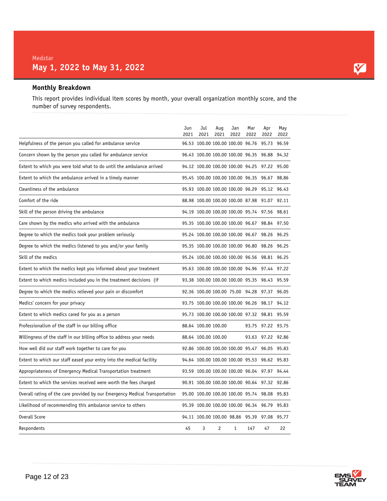### **Monthly Breakdown**

This report provides individual item scores by month, your overall organization monthly score, and the number of survey respondents.

|                                                                             | Jun<br>2021 | Jul<br>2021                                  | Aug<br>2021 | Jan<br>2022  | Mar<br>2022 | Apr<br>2022       | May<br>2022 |
|-----------------------------------------------------------------------------|-------------|----------------------------------------------|-------------|--------------|-------------|-------------------|-------------|
| Helpfulness of the person you called for ambulance service                  |             | 96.53 100.00 100.00 100.00 96.76             |             |              |             | 95.73 96.59       |             |
| Concern shown by the person you called for ambulance service                |             | 96.43 100.00 100.00 100.00 96.35             |             |              |             | 96.88             | 94.32       |
| Extent to which you were told what to do until the ambulance arrived        |             | 94.12 100.00 100.00 100.00 94.25 97.22 95.00 |             |              |             |                   |             |
| Extent to which the ambulance arrived in a timely manner                    |             | 95.45 100.00 100.00 100.00 96.35 96.67 98.86 |             |              |             |                   |             |
| Cleanliness of the ambulance                                                |             | 95.93 100.00 100.00 100.00 96.29             |             |              |             | 95.12 96.43       |             |
| Comfort of the ride                                                         |             | 88.98 100.00 100.00 100.00 87.98 91.07 92.11 |             |              |             |                   |             |
| Skill of the person driving the ambulance                                   |             | 94.19 100.00 100.00 100.00 95.74 97.56 98.61 |             |              |             |                   |             |
| Care shown by the medics who arrived with the ambulance                     |             | 95.35 100.00 100.00 100.00 96.67 98.84 97.50 |             |              |             |                   |             |
| Degree to which the medics took your problem seriously                      |             | 95.24 100.00 100.00 100.00 96.67 98.26 96.25 |             |              |             |                   |             |
| Degree to which the medics listened to you and/or your family               |             | 95.35 100.00 100.00 100.00 96.80 98.26 96.25 |             |              |             |                   |             |
| Skill of the medics                                                         |             | 95.24 100.00 100.00 100.00 96.56 98.81 96.25 |             |              |             |                   |             |
| Extent to which the medics kept you informed about your treatment           |             | 95.63 100.00 100.00 100.00 94.96 97.44 97.22 |             |              |             |                   |             |
| Extent to which medics included you in the treatment decisions (if          |             | 93.38 100.00 100.00 100.00 95.35 96.43 95.59 |             |              |             |                   |             |
| Degree to which the medics relieved your pain or discomfort                 |             | 92.36 100.00 100.00 75.00 94.28 97.37 96.05  |             |              |             |                   |             |
| Medics' concern for your privacy                                            |             | 93.75 100.00 100.00 100.00 96.26 98.17 94.12 |             |              |             |                   |             |
| Extent to which medics cared for you as a person                            |             | 95.73 100.00 100.00 100.00 97.32 98.81 95.59 |             |              |             |                   |             |
| Professionalism of the staff in our billing office                          |             | 88.64 100.00 100.00                          |             |              |             | 93.75 97.22 93.75 |             |
| Willingness of the staff in our billing office to address your needs        |             | 88.64 100.00 100.00                          |             |              |             | 93.63 97.22 92.86 |             |
| How well did our staff work together to care for you                        |             | 92.86 100.00 100.00 100.00 95.47             |             |              |             | 96.05 95.83       |             |
| Extent to which our staff eased your entry into the medical facility        |             | 94.64 100.00 100.00 100.00 95.53 96.62 95.83 |             |              |             |                   |             |
| Appropriateness of Emergency Medical Transportation treatment               |             | 93.59 100.00 100.00 100.00 96.04 97.97 94.44 |             |              |             |                   |             |
| Extent to which the services received were worth the fees charged           |             | 90.91 100.00 100.00 100.00 90.64 97.32 92.86 |             |              |             |                   |             |
| Overall rating of the care provided by our Emergency Medical Transportation |             | 95.00 100.00 100.00 100.00 95.74 98.08 95.83 |             |              |             |                   |             |
| Likelihood of recommending this ambulance service to others                 |             | 95.39 100.00 100.00 100.00 96.34 96.79 95.83 |             |              |             |                   |             |
| Overall Score                                                               |             | 94.11 100.00 100.00 98.86 95.39              |             |              |             | 97.08 95.77       |             |
| Respondents                                                                 | 45          | 3                                            | 2           | $\mathbf{1}$ | 147         | 47                | 22          |



Y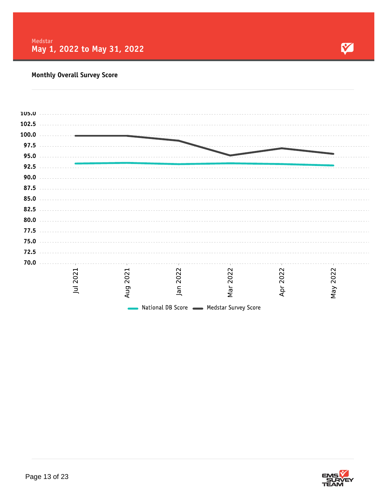

### **Monthly Overall Survey Score**

| 105.0 |      |                                       |                                           |      |      |      |  |
|-------|------|---------------------------------------|-------------------------------------------|------|------|------|--|
| 102.5 |      |                                       |                                           |      |      |      |  |
| 100.0 |      |                                       |                                           |      |      |      |  |
| 97.5  |      |                                       |                                           |      |      |      |  |
| 95.0  |      |                                       |                                           |      |      |      |  |
|       |      |                                       |                                           |      |      |      |  |
| 92.5  |      |                                       |                                           |      |      |      |  |
| 90.0  |      |                                       |                                           |      |      |      |  |
| 87.5  |      |                                       |                                           |      |      |      |  |
| 85.0  |      |                                       |                                           |      |      |      |  |
| 82.5  |      |                                       |                                           |      |      |      |  |
| 80.0  |      |                                       |                                           |      |      |      |  |
| 77.5  |      |                                       |                                           |      |      |      |  |
| 75.0  |      |                                       |                                           |      |      |      |  |
|       |      |                                       |                                           |      |      |      |  |
| 72.5  |      |                                       |                                           |      |      |      |  |
| 70.0  |      |                                       |                                           |      |      |      |  |
|       | 2021 | $\mathbf{\mathbf{\mathsf{H}}}$<br>202 | 2022                                      | 2022 | 2022 | 2022 |  |
|       |      |                                       |                                           |      |      |      |  |
|       | 亘    | Aug                                   | Jan                                       | Nar  | Apr  | Nay  |  |
|       |      |                                       | National DB Score  Subsetter Survey Score |      |      |      |  |
|       |      |                                       |                                           |      |      |      |  |

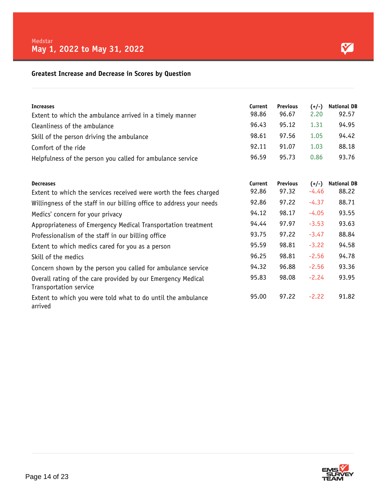### Y

### **Greatest Increase and Decrease in Scores by Question**

| <b>Increases</b>                                                                       | Current | <b>Previous</b> | $(+/-)$ | <b>National DB</b> |
|----------------------------------------------------------------------------------------|---------|-----------------|---------|--------------------|
| Extent to which the ambulance arrived in a timely manner                               | 98.86   | 96.67           | 2.20    | 92.57              |
| Cleanliness of the ambulance                                                           | 96.43   | 95.12           | 1.31    | 94.95              |
| Skill of the person driving the ambulance                                              | 98.61   | 97.56           | 1.05    | 94.42              |
| Comfort of the ride                                                                    | 92.11   | 91.07           | 1.03    | 88.18              |
| Helpfulness of the person you called for ambulance service                             | 96.59   | 95.73           | 0.86    | 93.76              |
| <b>Decreases</b>                                                                       | Current | <b>Previous</b> | $(+/-)$ | <b>National DB</b> |
| Extent to which the services received were worth the fees charged                      | 92.86   | 97.32           | $-4.46$ | 88.22              |
| Willingness of the staff in our billing office to address your needs                   | 92.86   | 97.22           | $-4.37$ | 88.71              |
| Medics' concern for your privacy                                                       | 94.12   | 98.17           | $-4.05$ | 93.55              |
| Appropriateness of Emergency Medical Transportation treatment                          | 94.44   | 97.97           | $-3.53$ | 93.63              |
| Professionalism of the staff in our billing office                                     | 93.75   | 97.22           | $-3.47$ | 88.84              |
| Extent to which medics cared for you as a person                                       | 95.59   | 98.81           | $-3.22$ | 94.58              |
| Skill of the medics                                                                    | 96.25   | 98.81           | $-2.56$ | 94.78              |
| Concern shown by the person you called for ambulance service                           | 94.32   | 96.88           | $-2.56$ | 93.36              |
| Overall rating of the care provided by our Emergency Medical<br>Transportation service | 95.83   | 98.08           | $-2.24$ | 93.95              |
| Extent to which you were told what to do until the ambulance<br>arrived                | 95.00   | 97.22           | $-2.22$ | 91.82              |

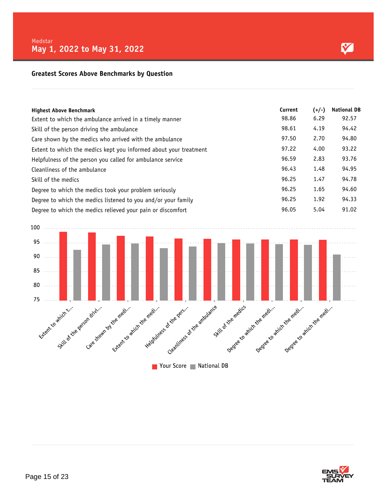### **Greatest Scores Above Benchmarks by Question**

| <b>Highest Above Benchmark</b><br>Extent to which the ambulance arrived in a timely manner | Current<br>98.86 | $(+/-)$<br>6.29 | <b>National DB</b><br>92.57 |
|--------------------------------------------------------------------------------------------|------------------|-----------------|-----------------------------|
| Skill of the person driving the ambulance                                                  | 98.61            | 4.19            | 94.42                       |
| Care shown by the medics who arrived with the ambulance                                    | 97.50            | 2.70            | 94.80                       |
| Extent to which the medics kept you informed about your treatment                          | 97.22            | 4.00            | 93.22                       |
| Helpfulness of the person you called for ambulance service                                 | 96.59            | 2.83            | 93.76                       |
| Cleanliness of the ambulance                                                               | 96.43            | 1.48            | 94.95                       |
| Skill of the medics                                                                        | 96.25            | 1.47            | 94.78                       |
| Degree to which the medics took your problem seriously                                     | 96.25            | 1.65            | 94.60                       |
| Degree to which the medics listened to you and/or your family                              | 96.25            | 1.92            | 94.33                       |
| Degree to which the medics relieved your pain or discomfort                                | 96.05            | 5.04            | 91.02                       |



Vour Score National DB

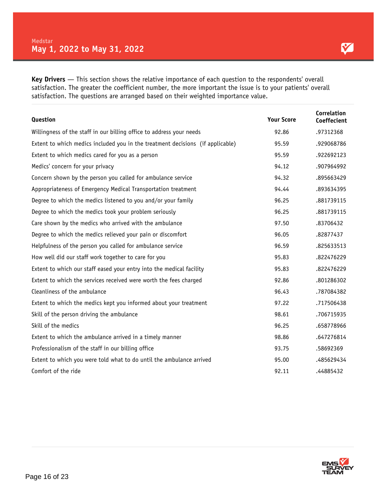**Key Drivers** — This section shows the relative importance of each question to the respondents' overall satisfaction. The greater the coefficient number, the more important the issue is to your patients' overall satisfaction. The questions are arranged based on their weighted importance value.

| Question                                                                       | <b>Your Score</b> | Correlation<br>Coeffecient |
|--------------------------------------------------------------------------------|-------------------|----------------------------|
| Willingness of the staff in our billing office to address your needs           | 92.86             | .97312368                  |
| Extent to which medics included you in the treatment decisions (if applicable) | 95.59             | .929068786                 |
| Extent to which medics cared for you as a person                               | 95.59             | .922692123                 |
| Medics' concern for your privacy                                               | 94.12             | .907964992                 |
| Concern shown by the person you called for ambulance service                   | 94.32             | .895663429                 |
| Appropriateness of Emergency Medical Transportation treatment                  | 94.44             | .893634395                 |
| Degree to which the medics listened to you and/or your family                  | 96.25             | .881739115                 |
| Degree to which the medics took your problem seriously                         | 96.25             | .881739115                 |
| Care shown by the medics who arrived with the ambulance                        | 97.50             | .83706432                  |
| Degree to which the medics relieved your pain or discomfort                    | 96.05             | .82877437                  |
| Helpfulness of the person you called for ambulance service                     | 96.59             | .825633513                 |
| How well did our staff work together to care for you                           | 95.83             | .822476229                 |
| Extent to which our staff eased your entry into the medical facility           | 95.83             | .822476229                 |
| Extent to which the services received were worth the fees charged              | 92.86             | .801286302                 |
| Cleanliness of the ambulance                                                   | 96.43             | .787084382                 |
| Extent to which the medics kept you informed about your treatment              | 97.22             | .717506438                 |
| Skill of the person driving the ambulance                                      | 98.61             | .706715935                 |
| Skill of the medics                                                            | 96.25             | .658778966                 |
| Extent to which the ambulance arrived in a timely manner                       | 98.86             | .647276814                 |
| Professionalism of the staff in our billing office                             | 93.75             | .58692369                  |
| Extent to which you were told what to do until the ambulance arrived           | 95.00             | .485629434                 |
| Comfort of the ride                                                            | 92.11             | .44885432                  |

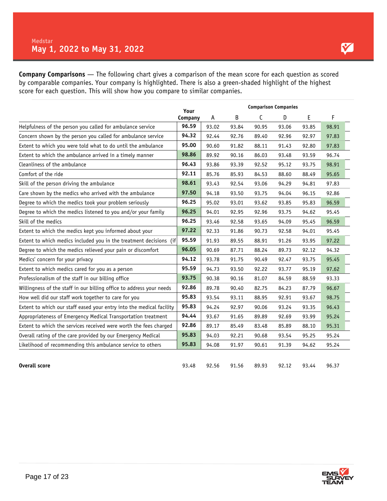**Company Comparisons** — The following chart gives a comparison of the mean score for each question as scored by comparable companies. Your company is highlighted. There is also a green-shaded highlight of the highest score for each question. This will show how you compare to similar companies.

|                                                                      | Your    |       |       |       |       |       |       |
|----------------------------------------------------------------------|---------|-------|-------|-------|-------|-------|-------|
|                                                                      | Company | A     | B     | С     | D     | E     | F     |
| Helpfulness of the person you called for ambulance service           | 96.59   | 93.02 | 93.84 | 90.95 | 93.06 | 93.85 | 98.91 |
| Concern shown by the person you called for ambulance service         | 94.32   | 92.44 | 92.76 | 89.40 | 92.96 | 92.97 | 97.83 |
| Extent to which you were told what to do until the ambulance         | 95.00   | 90.60 | 91.82 | 88.11 | 91.43 | 92.80 | 97.83 |
| Extent to which the ambulance arrived in a timely manner             | 98.86   | 89.92 | 90.16 | 86.03 | 93.48 | 93.59 | 96.74 |
| Cleanliness of the ambulance                                         | 96.43   | 93.86 | 93.39 | 92.52 | 95.12 | 93.75 | 98.91 |
| Comfort of the ride                                                  | 92.11   | 85.76 | 85.93 | 84.53 | 88.60 | 88.49 | 95.65 |
| Skill of the person driving the ambulance                            | 98.61   | 93.43 | 92.54 | 93.06 | 94.29 | 94.81 | 97.83 |
| Care shown by the medics who arrived with the ambulance              | 97.50   | 94.18 | 93.50 | 93.75 | 94.04 | 96.15 | 92.86 |
| Degree to which the medics took your problem seriously               | 96.25   | 95.02 | 93.01 | 93.62 | 93.85 | 95.83 | 96.59 |
| Degree to which the medics listened to you and/or your family        | 96.25   | 94.01 | 92.95 | 92.96 | 93.75 | 94.62 | 95.45 |
| Skill of the medics                                                  | 96.25   | 93.46 | 92.58 | 93.65 | 94.09 | 95.45 | 96.59 |
| Extent to which the medics kept you informed about your              | 97.22   | 92.33 | 91.86 | 90.73 | 92.58 | 94.01 | 95.45 |
| Extent to which medics included you in the treatment decisions (if   | 95.59   | 91.93 | 89.55 | 88.91 | 91.26 | 93.95 | 97.22 |
| Degree to which the medics relieved your pain or discomfort          | 96.05   | 90.69 | 87.71 | 88.24 | 89.73 | 92.12 | 94.32 |
| Medics' concern for your privacy                                     | 94.12   | 93.78 | 91.75 | 90.49 | 92.47 | 93.75 | 95.45 |
| Extent to which medics cared for you as a person                     | 95.59   | 94.73 | 93.50 | 92.22 | 93.77 | 95.19 | 97.62 |
| Professionalism of the staff in our billing office                   | 93.75   | 90.38 | 90.16 | 81.07 | 84.59 | 88.59 | 93.33 |
| Willingness of the staff in our billing office to address your needs | 92.86   | 89.78 | 90.40 | 82.75 | 84.23 | 87.79 | 96.67 |
| How well did our staff work together to care for you                 | 95.83   | 93.54 | 93.11 | 88.95 | 92.91 | 93.67 | 98.75 |
| Extent to which our staff eased your entry into the medical facility | 95.83   | 94.24 | 92.97 | 90.06 | 93.24 | 93.35 | 96.43 |
| Appropriateness of Emergency Medical Transportation treatment        | 94.44   | 93.67 | 91.65 | 89.89 | 92.69 | 93.99 | 95.24 |
| Extent to which the services received were worth the fees charged    | 92.86   | 89.17 | 85.49 | 83.48 | 85.89 | 88.10 | 95.31 |
| Overall rating of the care provided by our Emergency Medical         | 95.83   | 94.03 | 92.21 | 90.68 | 93.54 | 95.25 | 95.24 |
| Likelihood of recommending this ambulance service to others          | 95.83   | 94.08 | 91.97 | 90.61 | 91.39 | 94.62 | 95.24 |
|                                                                      |         |       |       |       |       |       |       |
| <b>Overall score</b>                                                 | 93.48   | 92.56 | 91.56 | 89.93 | 92.12 | 93.44 | 96.37 |

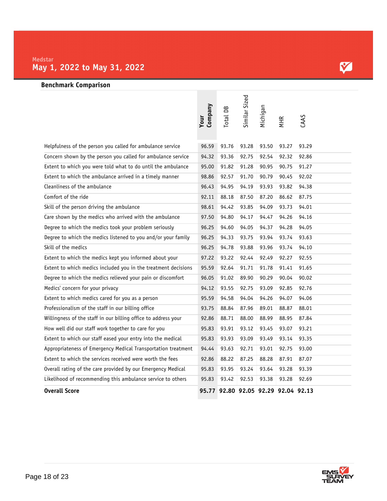

### **Benchmark Comparison**

|                                                                | Your<br>Company | Total DB | Similar Sized           | Michigan | <b>MHR</b>  | CAAS  |
|----------------------------------------------------------------|-----------------|----------|-------------------------|----------|-------------|-------|
| Helpfulness of the person you called for ambulance service     | 96.59           | 93.76    | 93.28                   | 93.50    | 93.27       | 93.29 |
| Concern shown by the person you called for ambulance service   | 94.32           | 93.36    | 92.75                   | 92.54    | 92.32       | 92.86 |
| Extent to which you were told what to do until the ambulance   | 95.00           | 91.82    | 91.28                   | 90.95    | 90.75       | 91.27 |
| Extent to which the ambulance arrived in a timely manner       | 98.86           | 92.57    | 91.70                   | 90.79    | 90.45       | 92.02 |
| Cleanliness of the ambulance                                   | 96.43           | 94.95    | 94.19                   | 93.93    | 93.82       | 94.38 |
| Comfort of the ride                                            | 92.11           | 88.18    | 87.50                   | 87.20    | 86.62       | 87.75 |
| Skill of the person driving the ambulance                      | 98.61           | 94.42    | 93.85                   | 94.09    | 93.73       | 94.01 |
| Care shown by the medics who arrived with the ambulance        | 97.50           | 94.80    | 94.17                   | 94.47    | 94.26       | 94.16 |
| Degree to which the medics took your problem seriously         | 96.25           | 94.60    | 94.05                   | 94.37    | 94.28       | 94.05 |
| Degree to which the medics listened to you and/or your family  | 96.25           | 94.33    | 93.75                   | 93.94    | 93.74       | 93.63 |
| Skill of the medics                                            | 96.25           | 94.78    | 93.88                   | 93.96    | 93.74       | 94.10 |
| Extent to which the medics kept you informed about your        | 97.22           | 93.22    | 92.44                   | 92.49    | 92.27       | 92.55 |
| Extent to which medics included you in the treatment decisions | 95.59           | 92.64    | 91.71                   | 91.78    | 91.41       | 91.65 |
| Degree to which the medics relieved your pain or discomfort    | 96.05           | 91.02    | 89.90                   | 90.29    | 90.04       | 90.02 |
| Medics' concern for your privacy                               | 94.12           | 93.55    | 92.75                   | 93.09    | 92.85       | 92.76 |
| Extent to which medics cared for you as a person               | 95.59           | 94.58    | 94.04                   | 94.26    | 94.07       | 94.06 |
| Professionalism of the staff in our billing office             | 93.75           | 88.84    | 87.96                   | 89.01    | 88.87       | 88.01 |
| Willingness of the staff in our billing office to address your | 92.86           | 88.71    | 88.00                   | 88.99    | 88.95       | 87.84 |
| How well did our staff work together to care for you           | 95.83           | 93.91    | 93.12                   | 93.45    | 93.07       | 93.21 |
| Extent to which our staff eased your entry into the medical    | 95.83           | 93.93    | 93.09                   | 93.49    | 93.14       | 93.35 |
| Appropriateness of Emergency Medical Transportation treatment  | 94.44           | 93.63    | 92.71                   | 93.01    | 92.75       | 93.00 |
| Extent to which the services received were worth the fees      | 92.86           | 88.22    | 87.25                   | 88.28    | 87.91       | 87.07 |
| Overall rating of the care provided by our Emergency Medical   | 95.83           | 93.95    | 93.24                   | 93.64    | 93.28       | 93.39 |
| Likelihood of recommending this ambulance service to others    | 95.83           | 93.42    | 92.53                   | 93.38    | 93.28       | 92.69 |
| <b>Overall Score</b>                                           |                 |          | 95.77 92.80 92.05 92.29 |          | 92.04 92.13 |       |

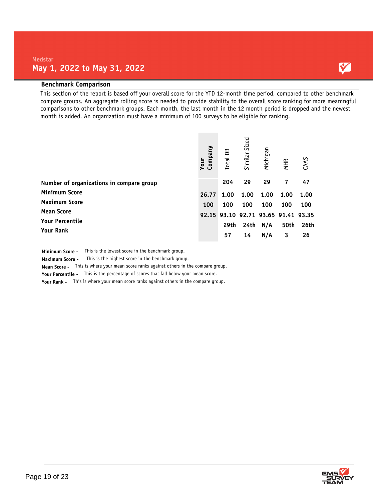### **Benchmark Comparison**

This section of the report is based off your overall score for the YTD 12-month time period, compared to other benchmark compare groups. An aggregate rolling score is needed to provide stability to the overall score ranking for more meaningful comparisons to other benchmark groups. Each month, the last month in the 12 month period is dropped and the newest month is added. An organization must have a minimum of 100 surveys to be eligible for ranking.

|                                          | Company<br>Your | Total DB | Similar Sized                       | Michigan | <b>MHR</b> | CAAS |
|------------------------------------------|-----------------|----------|-------------------------------------|----------|------------|------|
| Number of organizations in compare group |                 | 204      | 29                                  | 29       | 7          | 47   |
| <b>Minimum Score</b>                     | 26.77           | 1.00     | 1.00                                | 1.00     | 1.00       | 1.00 |
| <b>Maximum Score</b>                     | 100             | 100      | 100                                 | 100      | 100        | 100  |
| <b>Mean Score</b>                        |                 |          | 92.15 93.10 92.71 93.65 91.41 93.35 |          |            |      |
| <b>Your Percentile</b>                   |                 | 29th     | 24th                                | N/A      | 50th       | 26th |
| <b>Your Rank</b>                         |                 | 57       | 14                                  | N/A      | 3          | 26   |

**Minimum Score -** This is the lowest score in the benchmark group.

**Maximum Score -** This is the highest score in the benchmark group.

**Mean Score -** This is where your mean score ranks against others in the compare group.

**Your Percentile -** This is the percentage of scores that fall below your mean score.

**Your Rank -** This is where your mean score ranks against others in the compare group.



Y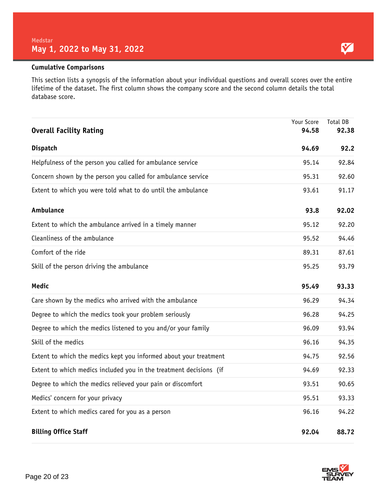### **Cumulative Comparisons**

This section lists a synopsis of the information about your individual questions and overall scores over the entire lifetime of the dataset. The first column shows the company score and the second column details the total database score.

| <b>Overall Facility Rating</b>                                     | Your Score<br>94.58 | Total DB<br>92.38 |
|--------------------------------------------------------------------|---------------------|-------------------|
| <b>Dispatch</b>                                                    | 94.69               | 92.2              |
| Helpfulness of the person you called for ambulance service         | 95.14               | 92.84             |
| Concern shown by the person you called for ambulance service       | 95.31               | 92.60             |
| Extent to which you were told what to do until the ambulance       | 93.61               | 91.17             |
| Ambulance                                                          | 93.8                | 92.02             |
| Extent to which the ambulance arrived in a timely manner           | 95.12               | 92.20             |
| Cleanliness of the ambulance                                       | 95.52               | 94.46             |
| Comfort of the ride                                                | 89.31               | 87.61             |
| Skill of the person driving the ambulance                          | 95.25               | 93.79             |
| <b>Medic</b>                                                       | 95.49               | 93.33             |
| Care shown by the medics who arrived with the ambulance            | 96.29               | 94.34             |
| Degree to which the medics took your problem seriously             | 96.28               | 94.25             |
| Degree to which the medics listened to you and/or your family      | 96.09               | 93.94             |
| Skill of the medics                                                | 96.16               | 94.35             |
| Extent to which the medics kept you informed about your treatment  | 94.75               | 92.56             |
| Extent to which medics included you in the treatment decisions (if | 94.69               | 92.33             |
| Degree to which the medics relieved your pain or discomfort        | 93.51               | 90.65             |
| Medics' concern for your privacy                                   | 95.51               | 93.33             |
| Extent to which medics cared for you as a person                   | 96.16               | 94.22             |
| <b>Billing Office Staff</b>                                        | 92.04               | 88.72             |

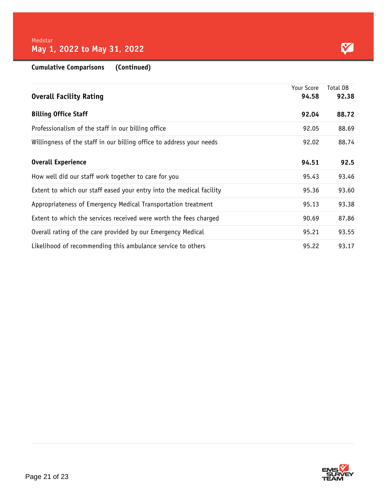Y

**Cumulative Comparisons (Continued)**

|                                                                      | Your Score | Total DB |
|----------------------------------------------------------------------|------------|----------|
| <b>Overall Facility Rating</b>                                       | 94.58      | 92.38    |
| <b>Billing Office Staff</b>                                          | 92.04      | 88.72    |
| Professionalism of the staff in our billing office                   | 92.05      | 88.69    |
| Willingness of the staff in our billing office to address your needs | 92.02      | 88.74    |
| <b>Overall Experience</b>                                            | 94.51      | 92.5     |
| How well did our staff work together to care for you                 | 95.43      | 93.46    |
| Extent to which our staff eased your entry into the medical facility | 95.36      | 93.60    |
| Appropriateness of Emergency Medical Transportation treatment        | 95.13      | 93.38    |
| Extent to which the services received were worth the fees charged    | 90.69      | 87.86    |
| Overall rating of the care provided by our Emergency Medical         | 95.21      | 93.55    |
| Likelihood of recommending this ambulance service to others          | 95.22      | 93.17    |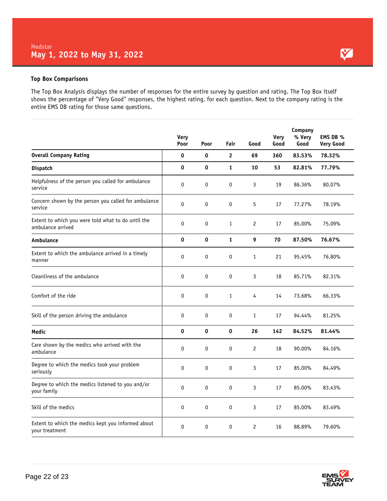#### **Top Box Comparisons**

The Top Box Analysis displays the number of responses for the entire survey by question and rating. The Top Box itself shows the percentage of "Very Good" responses, the highest rating, for each question. Next to the company rating is the entire EMS DB rating for those same questions.

|                                                                         | <b>Very</b><br>Poor | Poor | Fair         | Good           | Very<br>Good | Company<br>% Very<br>Good | EMS DB %<br><b>Very Good</b> |
|-------------------------------------------------------------------------|---------------------|------|--------------|----------------|--------------|---------------------------|------------------------------|
| <b>Overall Company Rating</b>                                           | 0                   | 0    | $\mathbf{2}$ | 69             | 360          | 83.53%                    | 78.32%                       |
| <b>Dispatch</b>                                                         | 0                   | 0    | $\mathbf{1}$ | 10             | 53           | 82.81%                    | 77.79%                       |
| Helpfulness of the person you called for ambulance<br>service           | 0                   | 0    | $\mathbf 0$  | 3              | 19           | 86.36%                    | 80.07%                       |
| Concern shown by the person you called for ambulance<br>service         | 0                   | 0    | 0            | 5              | 17           | 77.27%                    | 78.19%                       |
| Extent to which you were told what to do until the<br>ambulance arrived | 0                   | 0    | $\mathbf{1}$ | $\overline{c}$ | 17           | 85.00%                    | 75.09%                       |
| Ambulance                                                               | 0                   | 0    | $\mathbf{1}$ | 9              | 70           | 87.50%                    | 76.67%                       |
| Extent to which the ambulance arrived in a timely<br>manner             | 0                   | 0    | 0            | 1              | 21           | 95.45%                    | 76.80%                       |
| Cleanliness of the ambulance                                            | 0                   | 0    | 0            | 3              | 18           | 85.71%                    | 82.31%                       |
| Comfort of the ride                                                     | 0                   | 0    | $\mathbf{1}$ | 4              | 14           | 73.68%                    | 66.33%                       |
| Skill of the person driving the ambulance                               | 0                   | 0    | $\mathbf 0$  | $\mathbf{1}$   | 17           | 94.44%                    | 81.25%                       |
| Medic                                                                   | 0                   | 0    | 0            | 26             | 142          | 84.52%                    | 81.44%                       |
| Care shown by the medics who arrived with the<br>ambulance              | 0                   | 0    | $\mathbf 0$  | $\overline{c}$ | 18           | 90.00%                    | 84.16%                       |
| Degree to which the medics took your problem<br>seriously               | 0                   | 0    | $\mathbf 0$  | 3              | 17           | 85.00%                    | 84.49%                       |
| Degree to which the medics listened to you and/or<br>your family        | 0                   | 0    | 0            | 3              | 17           | 85.00%                    | 83.43%                       |
| Skill of the medics                                                     | 0                   | 0    | 0            | 3              | 17           | 85.00%                    | 83.49%                       |
| Extent to which the medics kept you informed about<br>your treatment    | 0                   | 0    | $\mathbf 0$  | $\overline{c}$ | 16           | 88.89%                    | 79.60%                       |